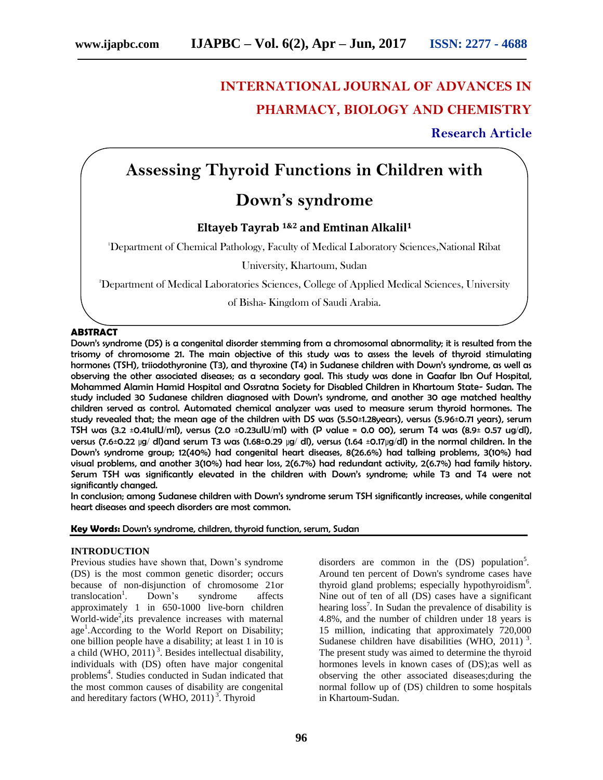# **INTERNATIONAL JOURNAL OF ADVANCES IN PHARMACY, BIOLOGY AND CHEMISTRY**

### **Research Article**

# **Assessing Thyroid Functions in Children with**

## **Down's syndrome**

### **Eltayeb Tayrab 1&2 and Emtinan Alkalil<sup>1</sup>**

<sup>1</sup>Department of Chemical Pathology, Faculty of Medical Laboratory Sciences,National Ribat

University, Khartoum, Sudan

<sup>2</sup>Department of Medical Laboratories Sciences, College of Applied Medical Sciences, University

of Bisha- Kingdom of Saudi Arabia.

#### **ABSTRACT**

Down's syndrome (DS) is a congenital disorder stemming from a chromosomal abnormality; it is resulted from the trisomy of chromosome 21. The main objective of this study was to assess the levels of thyroid stimulating hormones (TSH), triiodothyronine (T3), and thyroxine (T4) in Sudanese children with Down's syndrome, as well as observing the other associated diseases; as a secondary goal. This study was done in Gaafar Ibn Ouf Hospital, Mohammed Alamin Hamid Hospital and Ossratna Society for Disabled Children in Khartoum State- Sudan. The study included 30 Sudanese children diagnosed with Down's syndrome, and another 30 age matched healthy children served as control. Automated chemical analyzer was used to measure serum thyroid hormones. The study revealed that; the mean age of the children with DS was (5.50±1.28years), versus (5.96±0.71 years), serum TSH was  $(3.2 \pm 0.41$ ulU/ml), versus  $(2.0 \pm 0.23$ ulU/ml) with  $(P \text{ value} = 0.0 \text{ } 00)$ , serum T4 was  $(8.9 \pm 0.57 \text{ } ug/dl)$ , versus (7.6±0.22 µg/ dl)and serum T3 was (1.68±0.29 µg/ dl), versus (1.64 ±0.17µg/dl) in the normal children. In the Down's syndrome group; 12(40%) had congenital heart diseases, 8(26.6%) had talking problems, 3(10%) had visual problems, and another 3(10%) had hear loss, 2(6.7%) had redundant activity, 2(6.7%) had family history. Serum TSH was significantly elevated in the children with Down's syndrome; while T3 and T4 were not significantly changed.

In conclusion; among Sudanese children with Down's syndrome serum TSH significantly increases, while congenital heart diseases and speech disorders are most common.

**Key Words:** Down's syndrome, children, thyroid function, serum, Sudan

#### **INTRODUCTION**

Previous studies have shown that, Down's syndrome (DS) is the most common genetic disorder; occurs because of non-disjunction of chromosome 21or  $translocation<sup>1</sup>$ . Down's syndrome affects approximately 1 in 650-1000 live-born children  $\text{World-wide}^2$ , its prevalence increases with maternal age<sup>1</sup>. According to the World Report on Disability; one billion people have a disability; at least 1 in 10 is a child (WHO,  $2011$ )<sup>3</sup>. Besides intellectual disability, individuals with (DS) often have major congenital problems<sup>4</sup>. Studies conducted in Sudan indicated that the most common causes of disability are congenital and hereditary factors (WHO,  $2011$ )<sup>3</sup>. Thyroid

disorders are common in the  $(DS)$  population<sup>5</sup>. Around ten percent of Down's syndrome cases have thyroid gland problems; especially hypothyroidism<sup>6</sup>. Nine out of ten of all (DS) cases have a significant hearing loss<sup>7</sup>. In Sudan the prevalence of disability is 4.8%, and the number of children under 18 years is 15 million, indicating that approximately 720,000 Sudanese children have disabilities (WHO, 2011)<sup>3</sup>. The present study was aimed to determine the thyroid hormones levels in known cases of (DS);as well as observing the other associated diseases;during the normal follow up of (DS) children to some hospitals in Khartoum-Sudan.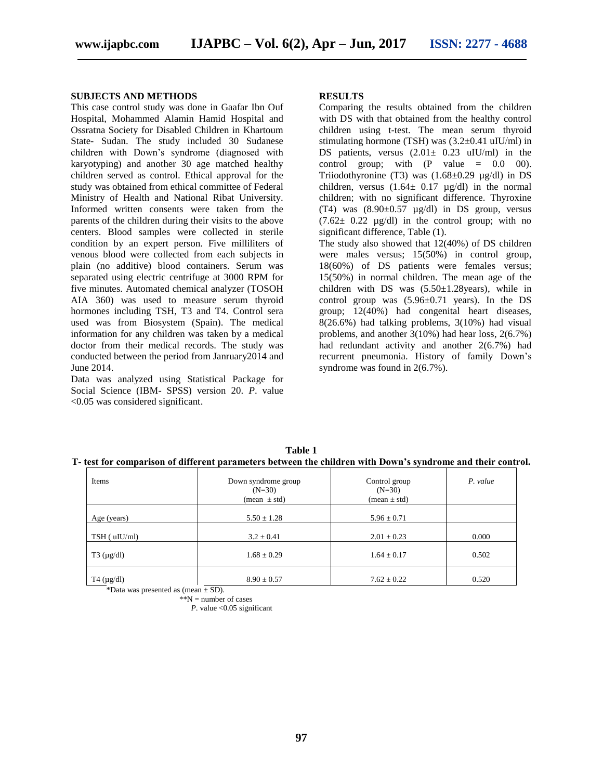#### **SUBJECTS AND METHODS**

This case control study was done in Gaafar Ibn Ouf Hospital, Mohammed Alamin Hamid Hospital and Ossratna Society for Disabled Children in Khartoum State- Sudan. The study included 30 Sudanese children with Down's syndrome (diagnosed with karyotyping) and another 30 age matched healthy children served as control. Ethical approval for the study was obtained from ethical committee of Federal Ministry of Health and National Ribat University. Informed written consents were taken from the parents of the children during their visits to the above centers. Blood samples were collected in sterile condition by an expert person. Five milliliters of venous blood were collected from each subjects in plain (no additive) blood containers. Serum was separated using electric centrifuge at 3000 RPM for five minutes. Automated chemical analyzer (TOSOH AIA 360) was used to measure serum thyroid hormones including TSH, T3 and T4. Control sera used was from Biosystem (Spain). The medical information for any children was taken by a medical doctor from their medical records. The study was conducted between the period from Janruary2014 and June 2014.

Data was analyzed using Statistical Package for Social Science (IBM- SPSS) version 20. *P*. value <0.05 was considered significant.

#### **RESULTS**

Comparing the results obtained from the children with DS with that obtained from the healthy control children using t-test. The mean serum thyroid stimulating hormone (TSH) was (3.2±0.41 uIU/ml) in DS patients, versus  $(2.01 \pm 0.23 \text{ uIU/ml})$  in the control group; with  $(P \text{ value } = 0.0 \quad 00)$ . Triiodothyronine (T3) was  $(1.68 \pm 0.29 \text{ µg/dl})$  in DS children, versus  $(1.64 \pm 0.17 \text{ µg/dl})$  in the normal children; with no significant difference. Thyroxine (T4) was  $(8.90\pm0.57 \text{ µg/dl})$  in DS group, versus  $(7.62 \pm 0.22 \text{ µg/dl})$  in the control group; with no significant difference, Table (1).

The study also showed that 12(40%) of DS children were males versus; 15(50%) in control group, 18(60%) of DS patients were females versus; 15(50%) in normal children. The mean age of the children with DS was  $(5.50 \pm 1.28 \text{ years})$ , while in control group was  $(5.96\pm0.71$  years). In the DS group; 12(40%) had congenital heart diseases, 8(26.6%) had talking problems, 3(10%) had visual problems, and another 3(10%) had hear loss, 2(6.7%) had redundant activity and another 2(6.7%) had recurrent pneumonia. History of family Down's syndrome was found in 2(6.7%).

| Items              | Down syndrome group<br>$(N=30)$<br>$(\text{mean} \pm \text{std})$ | Control group<br>$(N=30)$<br>$mean \pm std)$ | P. value |
|--------------------|-------------------------------------------------------------------|----------------------------------------------|----------|
| Age (years)        | $5.50 \pm 1.28$                                                   | $5.96 \pm 0.71$                              |          |
| $TSH$ ( $uIU/ml$ ) | $3.2 \pm 0.41$                                                    | $2.01 \pm 0.23$                              | 0.000    |
| $T3 \, (\mu g/dl)$ | $1.68 \pm 0.29$                                                   | $1.64 \pm 0.17$                              | 0.502    |
| T4 $(\mu g/dl)$    | $8.90 \pm 0.57$<br>and some of the                                | $7.62 \pm 0.22$                              | 0.520    |

**Table 1 T- test for comparison of different parameters between the children with Down's syndrome and their control.**

\*Data was presented as (mean  $\pm$  SD).

 $*N$  = number of cases

*P*. value  $\leq$  0.05 significant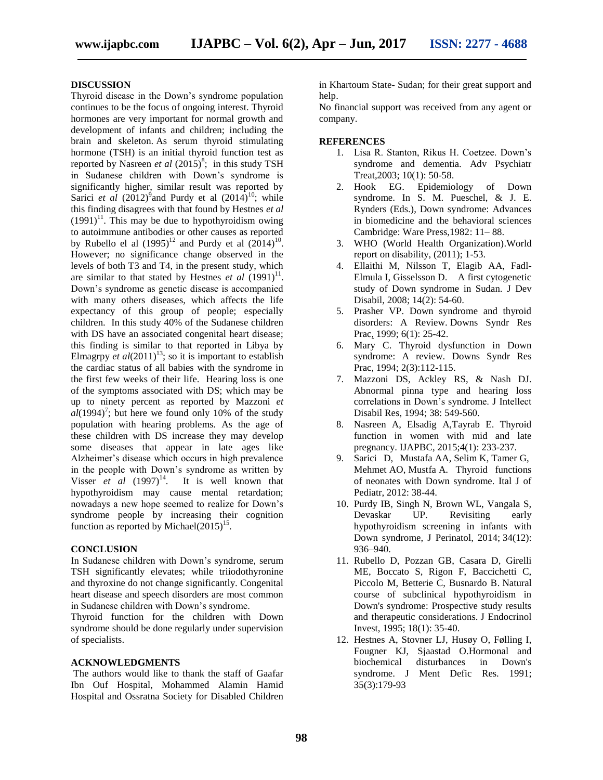#### **DISCUSSION**

Thyroid disease in the Down's syndrome population continues to be the focus of ongoing interest. Thyroid hormones are very important for normal growth and development of infants and children; including the brain and skeleton. As serum thyroid stimulating hormone (TSH) is an initial thyroid function test as reported by Nasreen *et al*  $(2015)^8$ ; in this study TSH in Sudanese children with Down's syndrome is significantly higher, similar result was reported by Sarici *et al*  $(2012)^{9}$  and Purdy et al  $(2014)^{10}$ ; while this finding disagrees with that found by Hestnes *et al*  $(1991)^{11}$ . This may be due to hypothyroidism owing to autoimmune antibodies or other causes as reported by Rubello el al  $(1995)^{12}$  and Purdy et al  $(2014)^{10}$ . However; no significance change observed in the levels of both T3 and T4, in the present study, which are similar to that stated by Hestnes *et al*  $(1991)^{11}$ . Down's syndrome as genetic disease is accompanied with many others diseases, which affects the life expectancy of this group of people; especially children. In this study 40% of the Sudanese children with DS have an associated congenital heart disease; this finding is similar to that reported in Libya by [Elmagrpy](http://www.ncbi.nlm.nih.gov/pubmed/?term=Elmagrpy%20Z%5Bauth%5D)  $et al(2011)<sup>13</sup>$ ; so it is important to establish the cardiac status of all babies with the syndrome in the first few weeks of their life. Hearing loss is one of the symptoms associated with DS; which may be up to ninety percent as reported by Mazzoni *et*   $a\overline{l}$ (1994)<sup>7</sup>; but here we found only 10% of the study population with hearing problems. As the age of these children with DS increase they may develop some diseases that appear in late ages like Alzheimer's disease which occurs in high prevalence in the people with Down's syndrome as written by Visser  $et$  al  $(1997)^{14}$ . It is well known that hypothyroidism may cause mental retardation; nowadays a new hope seemed to realize for Down's syndrome people by increasing their cognition function as reported by Michael $(2015)^{15}$ .

#### **CONCLUSION**

In Sudanese children with Down's syndrome, serum TSH significantly elevates; while triiodothyronine and thyroxine do not change significantly. Congenital heart disease and speech disorders are most common in Sudanese children with Down's syndrome.

Thyroid function for the children with Down syndrome should be done regularly under supervision of specialists.

#### **ACKNOWLEDGMENTS**

The authors would like to thank the staff of Gaafar Ibn Ouf Hospital, Mohammed Alamin Hamid Hospital and Ossratna Society for Disabled Children in Khartoum State- Sudan; for their great support and help.

No financial support was received from any agent or company.

#### **REFERENCES**

- 1. Lisa R. Stanton, Rikus H. Coetzee. Down's syndrome and dementia. Adv Psychiatr Treat,2003; 10(1): 50-58.
- 2. Hook EG. Epidemiology of Down syndrome. In S. M. Pueschel, & J. E. Rynders (Eds.), Down syndrome: Advances in biomedicine and the behavioral sciences Cambridge: Ware Press,1982: 11– 88.
- 3. WHO (World Health Organization).World report on disability, (2011); 1-53.
- 4. Ellaithi M, Nilsson T, Elagib AA, Fadl-Elmula I, Gisselsson D. A first cytogenetic study of Down syndrome in Sudan. J Dev Disabil, 2008; 14(2): 54-60.
- 5. Prasher VP. Down syndrome and thyroid disorders: A Review. Downs Syndr Res Prac, 1999; 6(1): 25-42.
- 6. Mary C. Thyroid dysfunction in Down syndrome: A review. Downs Syndr Res Prac, 1994; 2(3):112-115.
- 7. Mazzoni DS, Ackley RS, & Nash DJ. Abnormal pinna type and hearing loss correlations in Down's syndrome. J Intellect Disabil Res, 1994; 38: 549-560.
- 8. Nasreen A, Elsadig A,Tayrab E. Thyroid function in women with mid and late pregnancy. IJAPBC, 2015;4(1): 233-237.
- 9. Sarici D, Mustafa AA, Selim K, Tamer G, Mehmet AO, Mustfa A. Thyroid functions of neonates with Down syndrome. Ital J of Pediatr, 2012: 38-44.
- 10. Purdy IB, Singh N, Brown WL, Vangala S, Devaskar UP. Revisiting early hypothyroidism screening in infants with Down syndrome, J Perinatol, 2014; 34(12): 936–940.
- 11. Rubello D, Pozzan GB, Casara D, Girelli ME, Boccato S, Rigon F, Baccichetti C, Piccolo M, Betterie C, Busnardo B. Natural course of subclinical hypothyroidism in Down's syndrome: Prospective study results and therapeutic considerations. J Endocrinol Invest, 1995; 18(1): 35-40.
- 12. [Hestnes A,](http://www.ncbi.nlm.nih.gov/pubmed?term=Hestnes%20A%5BAuthor%5D&cauthor=true&cauthor_uid=1833549) [Stovner](http://www.ncbi.nlm.nih.gov/pubmed?term=Stovner%20LJ%5BAuthor%5D&cauthor=true&cauthor_uid=1833549) LJ, [Husøy O,](http://www.ncbi.nlm.nih.gov/pubmed?term=Hus%C3%B8y%20O%5BAuthor%5D&cauthor=true&cauthor_uid=1833549) [Følling I,](http://www.ncbi.nlm.nih.gov/pubmed?term=F%C3%B8lling%20I%5BAuthor%5D&cauthor=true&cauthor_uid=1833549) [Fougner KJ,](http://www.ncbi.nlm.nih.gov/pubmed?term=Fougner%20KJ%5BAuthor%5D&cauthor=true&cauthor_uid=1833549) [Sjaastad O.](http://www.ncbi.nlm.nih.gov/pubmed?term=Sjaastad%20O%5BAuthor%5D&cauthor=true&cauthor_uid=1833549)Hormonal and biochemical disturbances in Down's syndrome. [J Ment Defic Res.](http://www.ncbi.nlm.nih.gov/pubmed/1833549) 1991; 35(3):179-93